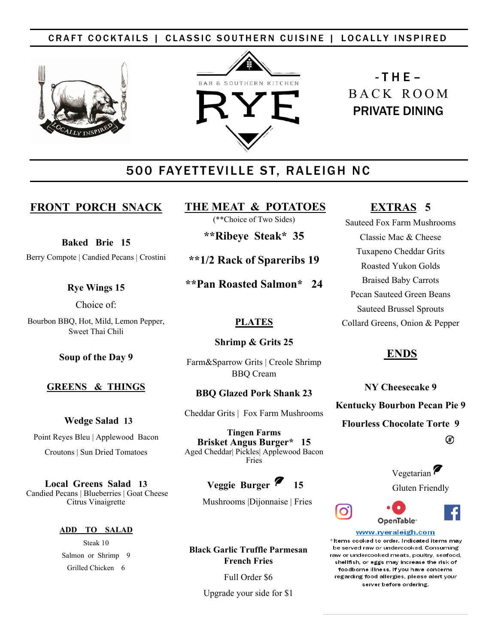# CRAFT COCKTAILS | CLASSIC SOUTHERN CUISINE | LOCALLY INSPIRED





# $-T$  H E  $-$ B A C K R O O M PRIVATE DINING

# 500 FAYETTEVILLE ST, RALEIGH NC

# **FRONT PORCH SNACK**

**Baked Brie 15**

Berry Compote | Candied Pecans | Crostini

## **Rye Wings 15**

Choice of:

Bourbon BBQ, Hot, Mild, Lemon Pepper, Sweet Thai Chili

**Soup of the Day 9** 

# **GREENS & THINGS**

 **Wedge Salad 13**

Point Reyes Bleu | Applewood Bacon

Croutons | Sun Dried Tomatoes

**Local Greens Salad 13** Candied Pecans | Blueberries | Goat Cheese Citrus Vinaigrette

#### **ADD TO SALAD**

Steak 10 Salmon or Shrimp 9 Grilled Chicken 6

# **THE MEAT & POTATOES**

(\*\*Choice of Two Sides)

**\*\*Ribeye Steak\* 35**

**\*\*1/2 Rack of Spareribs 19**

**\*\*Pan Roasted Salmon\* 24**

# **PLATES**

# **Shrimp & Grits 25**

Farm&Sparrow Grits | Creole Shrimp BBQ Cream

# **BBQ Glazed Pork Shank 23**

Cheddar Grits | Fox Farm Mushrooms

**Tingen Farms Brisket Angus Burger\* 15** Aged Cheddar| Pickles| Applewood Bacon Fries

# Veggie Burger<sup>7</sup> 15

Mushrooms |Dijonnaise | Fries

**Black Garlic Truffle Parmesan French Fries**

Full Order \$6

Upgrade your side for \$1

# **EXTRAS 5**

Sauteed Fox Farm Mushrooms Classic Mac & Cheese Tuxapeno Cheddar Grits Roasted Yukon Golds Braised Baby Carrots Pecan Sauteed Green Beans Sauteed Brussel Sprouts Collard Greens, Onion & Pepper

# **ENDS**

**NY Cheesecake 9 Kentucky Bourbon Pecan Pie 9 Flourless Chocolate Torte 9** ட்

> Vegetarian Gluten Friendly

# OpenTable<sup>®</sup>

#### www.ryeraleigh.com \*Items cooked to order. Indicated items may be served raw or undercooked. Consuming raw or undercooked meats, poultry, seafood. shellfish, or eggs may increase the risk of foodborne illness. If you have concerns regarding food allergies, please alert your

server before ordering.